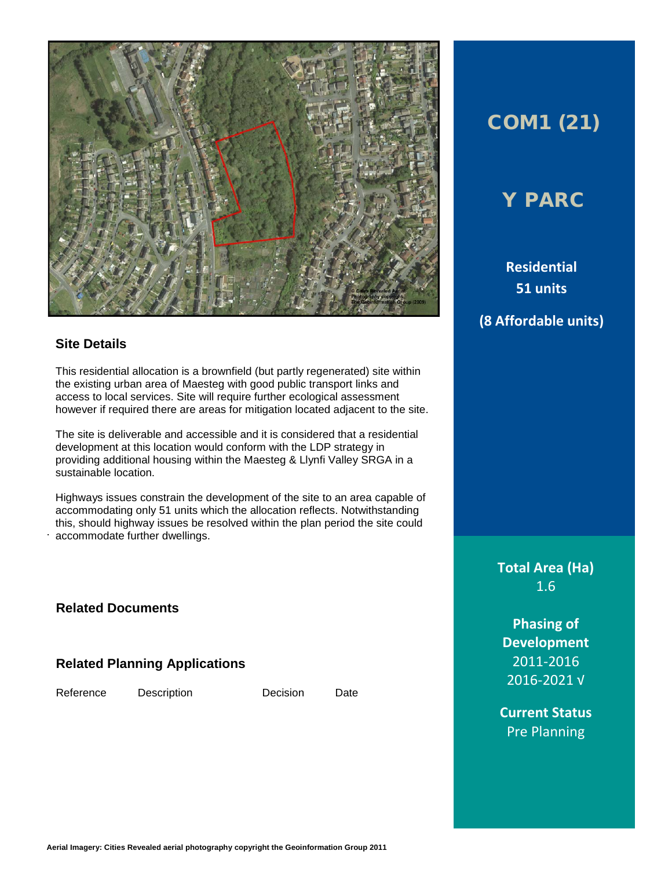

#### **Site Details**

This residential allocation is a brownfield (but partly regenerated) site within the existing urban area of Maesteg with good public transport links and access to local services. Site will require further ecological assessment however if required there are areas for mitigation located adjacent to the site.

The site is deliverable and accessible and it is considered that a residential development at this location would conform with the LDP strategy in providing additional housing within the Maesteg & Llynfi Valley SRGA in a sustainable location.

. accommodate further dwellings. Highways issues constrain the development of the site to an area capable of accommodating only 51 units which the allocation reflects. Notwithstanding this, should highway issues be resolved within the plan period the site could

**Related Documents**

**Related Planning Applications**

Reference Description Decision Date

# COM1 (21)

## Y PARC

**Residential 51 units (8 Affordable units)**

> **Total Area (Ha)** 1.6

**Phasing of Development** 2011-2016 2016-2021 √

**Current Status** Pre Planning